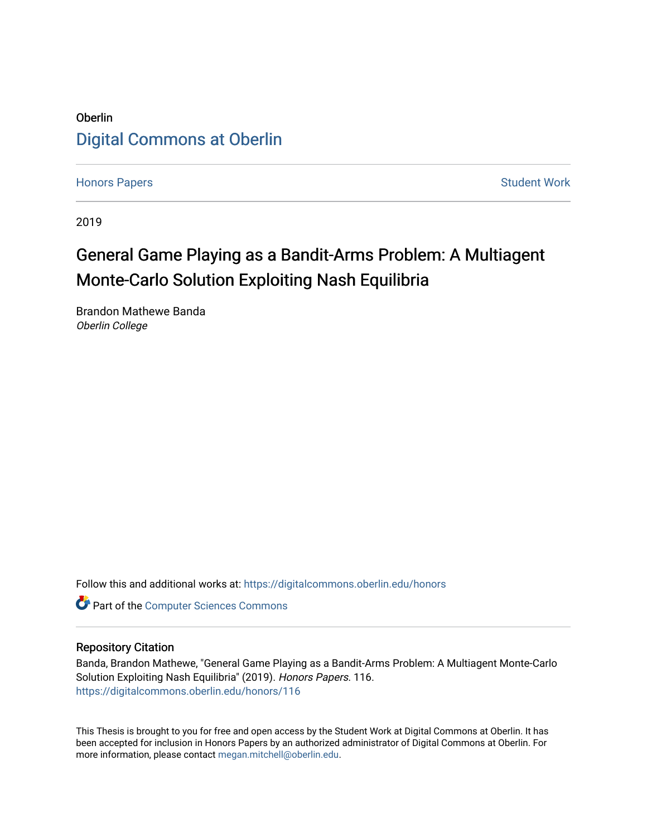# Oberlin [Digital Commons at Oberlin](https://digitalcommons.oberlin.edu/)

[Honors Papers](https://digitalcommons.oberlin.edu/honors) **Student Work** [Student Work](https://digitalcommons.oberlin.edu/students) **Student Work** Student Work **Student Work** 

2019

# General Game Playing as a Bandit-Arms Problem: A Multiagent Monte-Carlo Solution Exploiting Nash Equilibria

Brandon Mathewe Banda Oberlin College

Follow this and additional works at: [https://digitalcommons.oberlin.edu/honors](https://digitalcommons.oberlin.edu/honors?utm_source=digitalcommons.oberlin.edu%2Fhonors%2F116&utm_medium=PDF&utm_campaign=PDFCoverPages) 

**Part of the [Computer Sciences Commons](http://network.bepress.com/hgg/discipline/142?utm_source=digitalcommons.oberlin.edu%2Fhonors%2F116&utm_medium=PDF&utm_campaign=PDFCoverPages)** 

#### Repository Citation

Banda, Brandon Mathewe, "General Game Playing as a Bandit-Arms Problem: A Multiagent Monte-Carlo Solution Exploiting Nash Equilibria" (2019). Honors Papers. 116. [https://digitalcommons.oberlin.edu/honors/116](https://digitalcommons.oberlin.edu/honors/116?utm_source=digitalcommons.oberlin.edu%2Fhonors%2F116&utm_medium=PDF&utm_campaign=PDFCoverPages) 

This Thesis is brought to you for free and open access by the Student Work at Digital Commons at Oberlin. It has been accepted for inclusion in Honors Papers by an authorized administrator of Digital Commons at Oberlin. For more information, please contact [megan.mitchell@oberlin.edu.](mailto:megan.mitchell@oberlin.edu)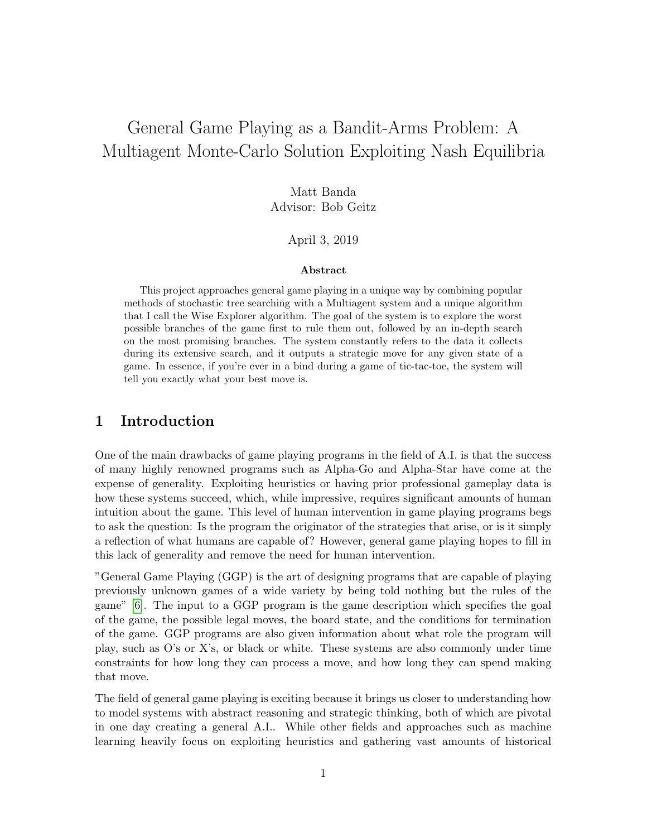# General Game Playing as a Bandit-Arms Problem: A Multiagent Monte-Carlo Solution Exploiting Nash Equilibria

Matt Banda Advisor: Bob Geitz

#### April 3, 2019

#### Abstract

This project approaches general game playing in a unique way by combining popular methods of stochastic tree searching with a Multiagent system and a unique algorithm that I call the Wise Explorer algorithm. The goal of the system is to explore the worst possible branches of the game first to rule them out, followed by an in-depth search on the most promising branches. The system constantly refers to the data it collects during its extensive search, and it outputs a strategic move for any given state of a game. In essence, if you're ever in a bind during a game of tic-tac-toe, the system will tell you exactly what your best move is.

### 1 Introduction

One of the main drawbacks of game playing programs in the field of A.I. is that the success of many highly renowned programs such as Alpha-Go and Alpha-Star have come at the expense of generality. Exploiting heuristics or having prior professional gameplay data is how these systems succeed, which, while impressive, requires significant amounts of human intuition about the game. This level of human intervention in game playing programs begs to ask the question: Is the program the originator of the strategies that arise, or is it simply a reflection of what humans are capable of? However, general game playing hopes to fill in this lack of generality and remove the need for human intervention.

"General Game Playing (GGP) is the art of designing programs that are capable of playing previously unknown games of a wide variety by being told nothing but the rules of the game" [\[6\]](#page-18-0). The input to a GGP program is the game description which specifies the goal of the game, the possible legal moves, the board state, and the conditions for termination of the game. GGP programs are also given information about what role the program will play, such as O's or X's, or black or white. These systems are also commonly under time constraints for how long they can process a move, and how long they can spend making that move.

The field of general game playing is exciting because it brings us closer to understanding how to model systems with abstract reasoning and strategic thinking, both of which are pivotal in one day creating a general A.I.. While other fields and approaches such as machine learning heavily focus on exploiting heuristics and gathering vast amounts of historical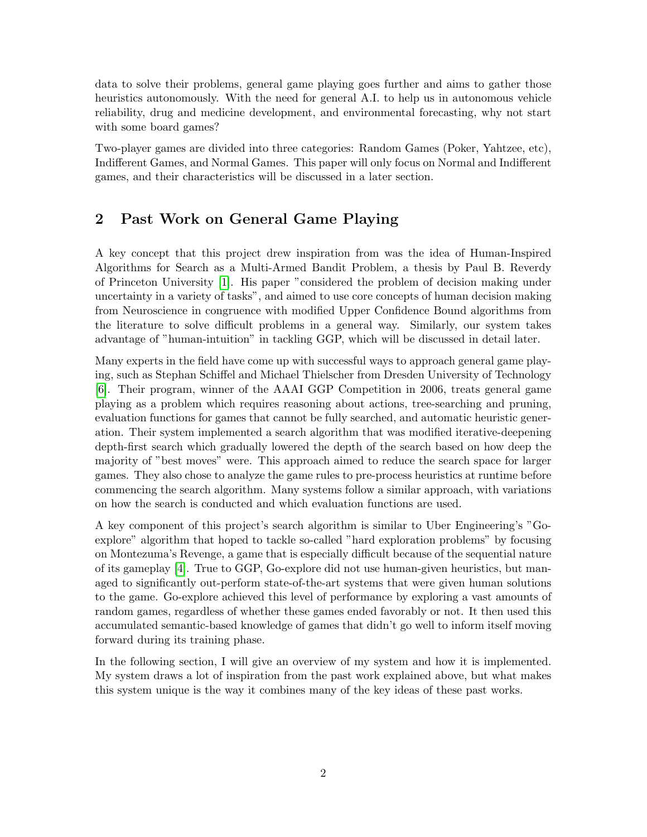data to solve their problems, general game playing goes further and aims to gather those heuristics autonomously. With the need for general A.I. to help us in autonomous vehicle reliability, drug and medicine development, and environmental forecasting, why not start with some board games?

Two-player games are divided into three categories: Random Games (Poker, Yahtzee, etc), Indifferent Games, and Normal Games. This paper will only focus on Normal and Indifferent games, and their characteristics will be discussed in a later section.

## 2 Past Work on General Game Playing

A key concept that this project drew inspiration from was the idea of Human-Inspired Algorithms for Search as a Multi-Armed Bandit Problem, a thesis by Paul B. Reverdy of Princeton University [\[1\]](#page-18-1). His paper "considered the problem of decision making under uncertainty in a variety of tasks", and aimed to use core concepts of human decision making from Neuroscience in congruence with modified Upper Confidence Bound algorithms from the literature to solve difficult problems in a general way. Similarly, our system takes advantage of "human-intuition" in tackling GGP, which will be discussed in detail later.

Many experts in the field have come up with successful ways to approach general game playing, such as Stephan Schiffel and Michael Thielscher from Dresden University of Technology [\[6\]](#page-18-0). Their program, winner of the AAAI GGP Competition in 2006, treats general game playing as a problem which requires reasoning about actions, tree-searching and pruning, evaluation functions for games that cannot be fully searched, and automatic heuristic generation. Their system implemented a search algorithm that was modified iterative-deepening depth-first search which gradually lowered the depth of the search based on how deep the majority of "best moves" were. This approach aimed to reduce the search space for larger games. They also chose to analyze the game rules to pre-process heuristics at runtime before commencing the search algorithm. Many systems follow a similar approach, with variations on how the search is conducted and which evaluation functions are used.

A key component of this project's search algorithm is similar to Uber Engineering's "Goexplore" algorithm that hoped to tackle so-called "hard exploration problems" by focusing on Montezuma's Revenge, a game that is especially difficult because of the sequential nature of its gameplay [\[4\]](#page-18-2). True to GGP, Go-explore did not use human-given heuristics, but managed to significantly out-perform state-of-the-art systems that were given human solutions to the game. Go-explore achieved this level of performance by exploring a vast amounts of random games, regardless of whether these games ended favorably or not. It then used this accumulated semantic-based knowledge of games that didn't go well to inform itself moving forward during its training phase.

In the following section, I will give an overview of my system and how it is implemented. My system draws a lot of inspiration from the past work explained above, but what makes this system unique is the way it combines many of the key ideas of these past works.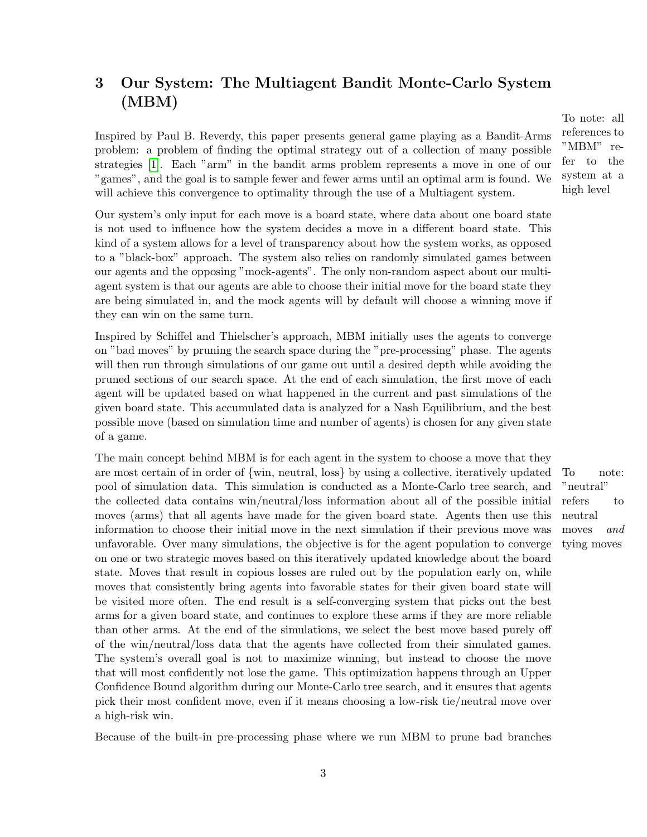# 3 Our System: The Multiagent Bandit Monte-Carlo System (MBM)

Inspired by Paul B. Reverdy, this paper presents general game playing as a Bandit-Arms problem: a problem of finding the optimal strategy out of a collection of many possible strategies [\[1\]](#page-18-1). Each "arm" in the bandit arms problem represents a move in one of our "games", and the goal is to sample fewer and fewer arms until an optimal arm is found. We will achieve this convergence to optimality through the use of a Multiagent system.

Our system's only input for each move is a board state, where data about one board state is not used to influence how the system decides a move in a different board state. This kind of a system allows for a level of transparency about how the system works, as opposed to a "black-box" approach. The system also relies on randomly simulated games between our agents and the opposing "mock-agents". The only non-random aspect about our multiagent system is that our agents are able to choose their initial move for the board state they are being simulated in, and the mock agents will by default will choose a winning move if they can win on the same turn.

Inspired by Schiffel and Thielscher's approach, MBM initially uses the agents to converge on "bad moves" by pruning the search space during the "pre-processing" phase. The agents will then run through simulations of our game out until a desired depth while avoiding the pruned sections of our search space. At the end of each simulation, the first move of each agent will be updated based on what happened in the current and past simulations of the given board state. This accumulated data is analyzed for a Nash Equilibrium, and the best possible move (based on simulation time and number of agents) is chosen for any given state of a game.

The main concept behind MBM is for each agent in the system to choose a move that they are most certain of in order of  $\{\text{win}, \text{neutral}, \text{loss}\}\$  by using a collective, iteratively updated To note: pool of simulation data. This simulation is conducted as a Monte-Carlo tree search, and the collected data contains win/neutral/loss information about all of the possible initial moves (arms) that all agents have made for the given board state. Agents then use this information to choose their initial move in the next simulation if their previous move was unfavorable. Over many simulations, the objective is for the agent population to converge on one or two strategic moves based on this iteratively updated knowledge about the board state. Moves that result in copious losses are ruled out by the population early on, while moves that consistently bring agents into favorable states for their given board state will be visited more often. The end result is a self-converging system that picks out the best arms for a given board state, and continues to explore these arms if they are more reliable than other arms. At the end of the simulations, we select the best move based purely off of the win/neutral/loss data that the agents have collected from their simulated games. The system's overall goal is not to maximize winning, but instead to choose the move that will most confidently not lose the game. This optimization happens through an Upper Confidence Bound algorithm during our Monte-Carlo tree search, and it ensures that agents pick their most confident move, even if it means choosing a low-risk tie/neutral move over a high-risk win.

Because of the built-in pre-processing phase where we run MBM to prune bad branches

To note: all references to "MBM" refer to the system at a high level

> "neutral" refers to neutral moves and tying moves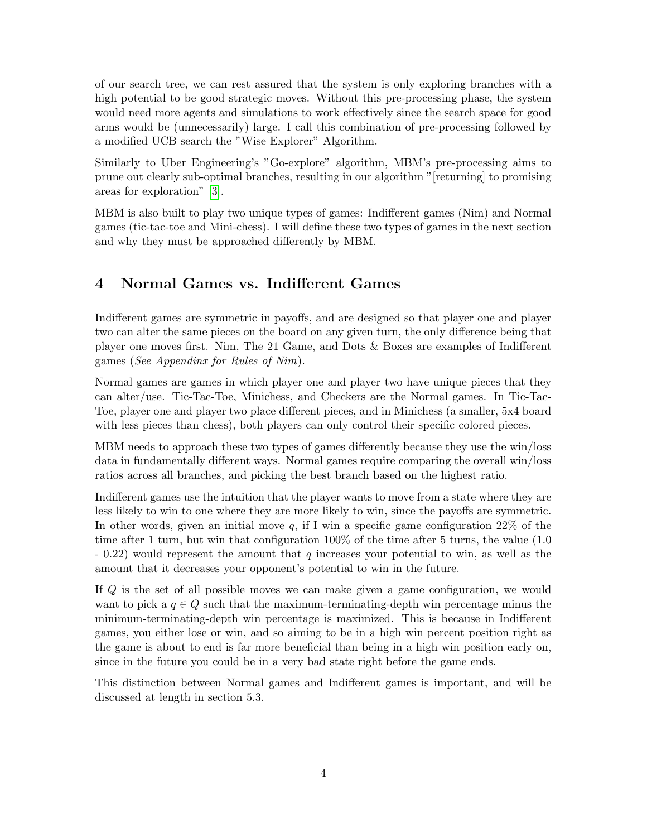of our search tree, we can rest assured that the system is only exploring branches with a high potential to be good strategic moves. Without this pre-processing phase, the system would need more agents and simulations to work effectively since the search space for good arms would be (unnecessarily) large. I call this combination of pre-processing followed by a modified UCB search the "Wise Explorer" Algorithm.

Similarly to Uber Engineering's "Go-explore" algorithm, MBM's pre-processing aims to prune out clearly sub-optimal branches, resulting in our algorithm "[returning] to promising areas for exploration" [\[3\]](#page-18-3).

MBM is also built to play two unique types of games: Indifferent games (Nim) and Normal games (tic-tac-toe and Mini-chess). I will define these two types of games in the next section and why they must be approached differently by MBM.

## 4 Normal Games vs. Indifferent Games

Indifferent games are symmetric in payoffs, and are designed so that player one and player two can alter the same pieces on the board on any given turn, the only difference being that player one moves first. Nim, The 21 Game, and Dots & Boxes are examples of Indifferent games (See Appendinx for Rules of Nim).

Normal games are games in which player one and player two have unique pieces that they can alter/use. Tic-Tac-Toe, Minichess, and Checkers are the Normal games. In Tic-Tac-Toe, player one and player two place different pieces, and in Minichess (a smaller, 5x4 board with less pieces than chess), both players can only control their specific colored pieces.

MBM needs to approach these two types of games differently because they use the win/loss data in fundamentally different ways. Normal games require comparing the overall win/loss ratios across all branches, and picking the best branch based on the highest ratio.

Indifferent games use the intuition that the player wants to move from a state where they are less likely to win to one where they are more likely to win, since the payoffs are symmetric. In other words, given an initial move q, if I win a specific game configuration  $22\%$  of the time after 1 turn, but win that configuration 100% of the time after 5 turns, the value (1.0  $-0.22$ ) would represent the amount that q increases your potential to win, as well as the amount that it decreases your opponent's potential to win in the future.

If Q is the set of all possible moves we can make given a game configuration, we would want to pick a  $q \in Q$  such that the maximum-terminating-depth win percentage minus the minimum-terminating-depth win percentage is maximized. This is because in Indifferent games, you either lose or win, and so aiming to be in a high win percent position right as the game is about to end is far more beneficial than being in a high win position early on, since in the future you could be in a very bad state right before the game ends.

This distinction between Normal games and Indifferent games is important, and will be discussed at length in section 5.3.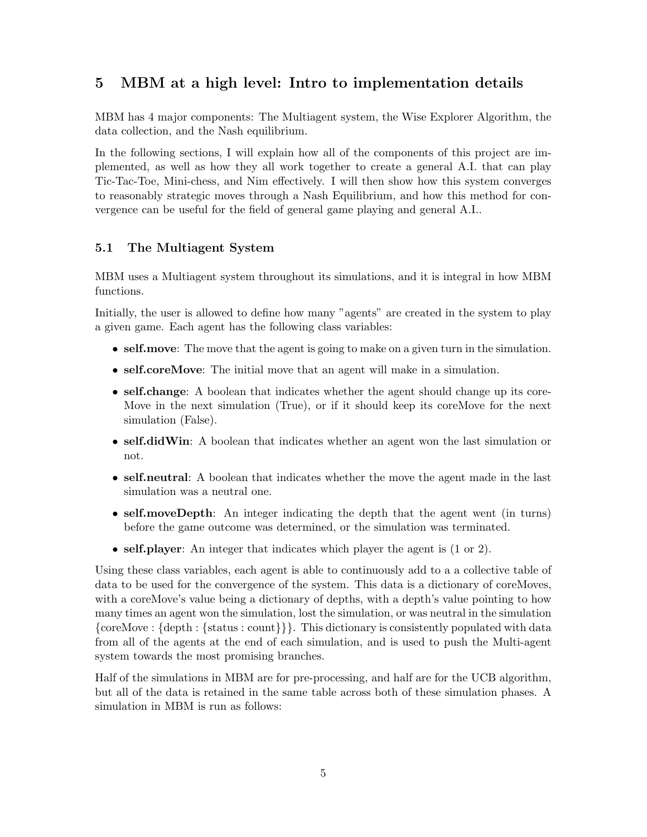## 5 MBM at a high level: Intro to implementation details

MBM has 4 major components: The Multiagent system, the Wise Explorer Algorithm, the data collection, and the Nash equilibrium.

In the following sections, I will explain how all of the components of this project are implemented, as well as how they all work together to create a general A.I. that can play Tic-Tac-Toe, Mini-chess, and Nim effectively. I will then show how this system converges to reasonably strategic moves through a Nash Equilibrium, and how this method for convergence can be useful for the field of general game playing and general A.I..

### 5.1 The Multiagent System

MBM uses a Multiagent system throughout its simulations, and it is integral in how MBM functions.

Initially, the user is allowed to define how many "agents" are created in the system to play a given game. Each agent has the following class variables:

- self.move: The move that the agent is going to make on a given turn in the simulation.
- self.coreMove: The initial move that an agent will make in a simulation.
- self.change: A boolean that indicates whether the agent should change up its core-Move in the next simulation (True), or if it should keep its coreMove for the next simulation (False).
- self.didWin: A boolean that indicates whether an agent won the last simulation or not.
- self.neutral: A boolean that indicates whether the move the agent made in the last simulation was a neutral one.
- self.moveDepth: An integer indicating the depth that the agent went (in turns) before the game outcome was determined, or the simulation was terminated.
- self. player: An integer that indicates which player the agent is  $(1 \text{ or } 2)$ .

Using these class variables, each agent is able to continuously add to a a collective table of data to be used for the convergence of the system. This data is a dictionary of coreMoves, with a coreMove's value being a dictionary of depths, with a depth's value pointing to how many times an agent won the simulation, lost the simulation, or was neutral in the simulation {coreMove : {depth : {status : count}}}. This dictionary is consistently populated with data from all of the agents at the end of each simulation, and is used to push the Multi-agent system towards the most promising branches.

Half of the simulations in MBM are for pre-processing, and half are for the UCB algorithm, but all of the data is retained in the same table across both of these simulation phases. A simulation in MBM is run as follows: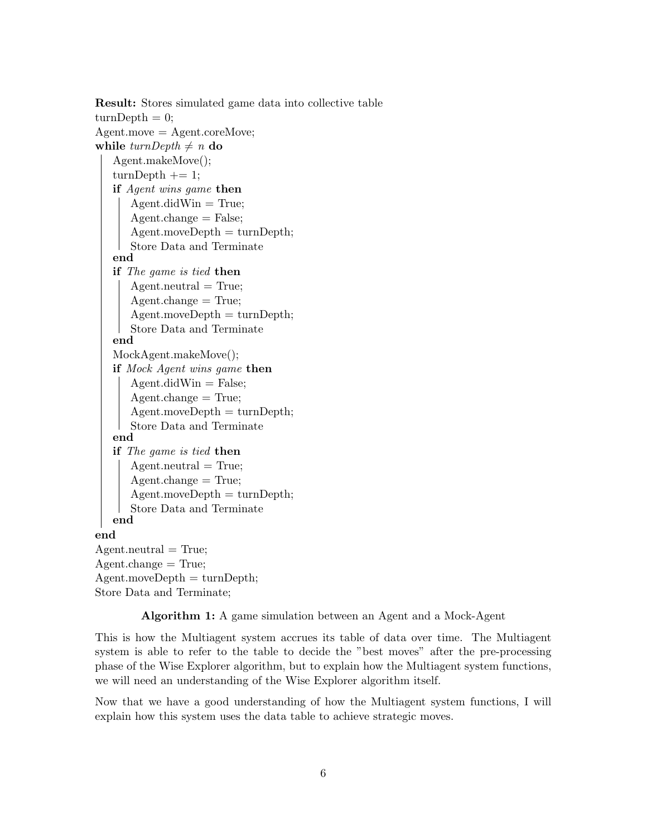```
Result: Stores simulated game data into collective table
turnDepth = 0;Agent{\ldots}move = Agent{\ldots}coreMove;
while turnDepth \neq n do
   Agent.makeMove();
   turnDepth += 1;if Agent wins game then
      Agent.didWin = True;Agent.change = False;
      Agent{\ldots}moveDepth = turnDepth;Store Data and Terminate
   end
   if The game is tied then
      Agent-neutral = True;Agent.change = True;
      Agent{\ldots}moveDepth = turnDepth;Store Data and Terminate
   end
   MockAgent.makeMove();
   if Mock Agent wins game then
      Agent.didWin = False;Agent-change = True;Agent{\ldots}moveDepth = turnDepth;Store Data and Terminate
   end
   if The game is tied then
      Agent-neutral = True;Agent.change = True;
      Agent{\ldots}moveDepth = turnDepth;Store Data and Terminate
   end
end
Agent-neutral = True;Agent.change = True;
Agent{\ldots}moveDepth = turnDepth;Store Data and Terminate;
```
Algorithm 1: A game simulation between an Agent and a Mock-Agent

This is how the Multiagent system accrues its table of data over time. The Multiagent system is able to refer to the table to decide the "best moves" after the pre-processing phase of the Wise Explorer algorithm, but to explain how the Multiagent system functions, we will need an understanding of the Wise Explorer algorithm itself.

Now that we have a good understanding of how the Multiagent system functions, I will explain how this system uses the data table to achieve strategic moves.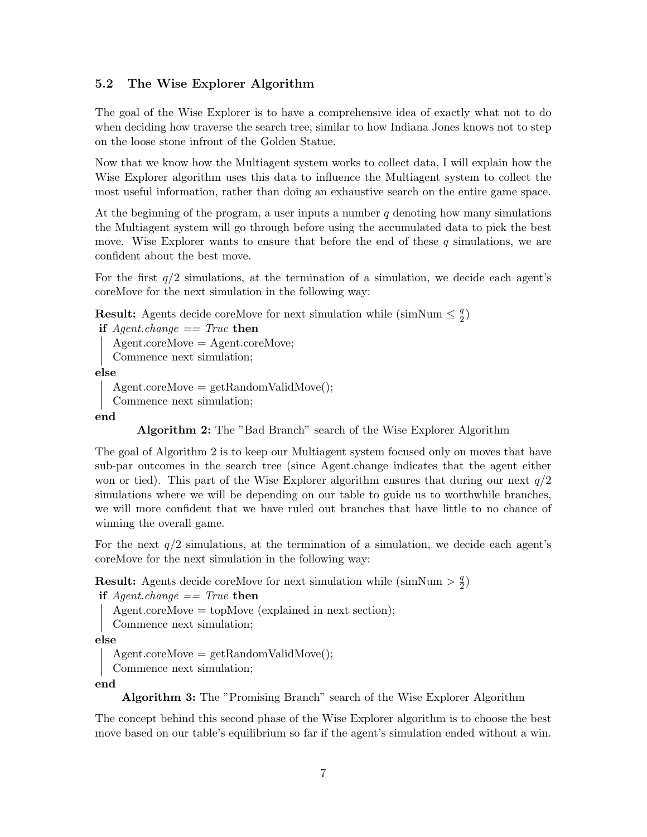#### 5.2 The Wise Explorer Algorithm

The goal of the Wise Explorer is to have a comprehensive idea of exactly what not to do when deciding how traverse the search tree, similar to how Indiana Jones knows not to step on the loose stone infront of the Golden Statue.

Now that we know how the Multiagent system works to collect data, I will explain how the Wise Explorer algorithm uses this data to influence the Multiagent system to collect the most useful information, rather than doing an exhaustive search on the entire game space.

At the beginning of the program, a user inputs a number  $q$  denoting how many simulations the Multiagent system will go through before using the accumulated data to pick the best move. Wise Explorer wants to ensure that before the end of these  $q$  simulations, we are confident about the best move.

For the first  $q/2$  simulations, at the termination of a simulation, we decide each agent's coreMove for the next simulation in the following way:

**Result:** Agents decide coreMove for next simulation while (simNum  $\leq \frac{q}{2}$ )  $\frac{q}{2})$ 

```
if Agent-change == True then
  Agent.coreMove = Agent.coreMove;
```

```
Commence next simulation;
```
else

```
Agent.coreMove = getRandomValidMove;
```
Commence next simulation;

end

Algorithm 2: The "Bad Branch" search of the Wise Explorer Algorithm

The goal of Algorithm 2 is to keep our Multiagent system focused only on moves that have sub-par outcomes in the search tree (since Agent.change indicates that the agent either won or tied). This part of the Wise Explorer algorithm ensures that during our next  $q/2$ simulations where we will be depending on our table to guide us to worthwhile branches, we will more confident that we have ruled out branches that have little to no chance of winning the overall game.

For the next  $q/2$  simulations, at the termination of a simulation, we decide each agent's coreMove for the next simulation in the following way:

**Result:** Agents decide coreMove for next simulation while (simNum  $> \frac{q}{2}$ )  $\frac{q}{2})$ 

```
if Agent-change == True then
```

```
Agent.coreMove = topMove (explained in next section);
```

```
Commence next simulation;
```
else

 $Agent.coreMove = getRandomValidMove();$ 

Commence next simulation;

end

Algorithm 3: The "Promising Branch" search of the Wise Explorer Algorithm

The concept behind this second phase of the Wise Explorer algorithm is to choose the best move based on our table's equilibrium so far if the agent's simulation ended without a win.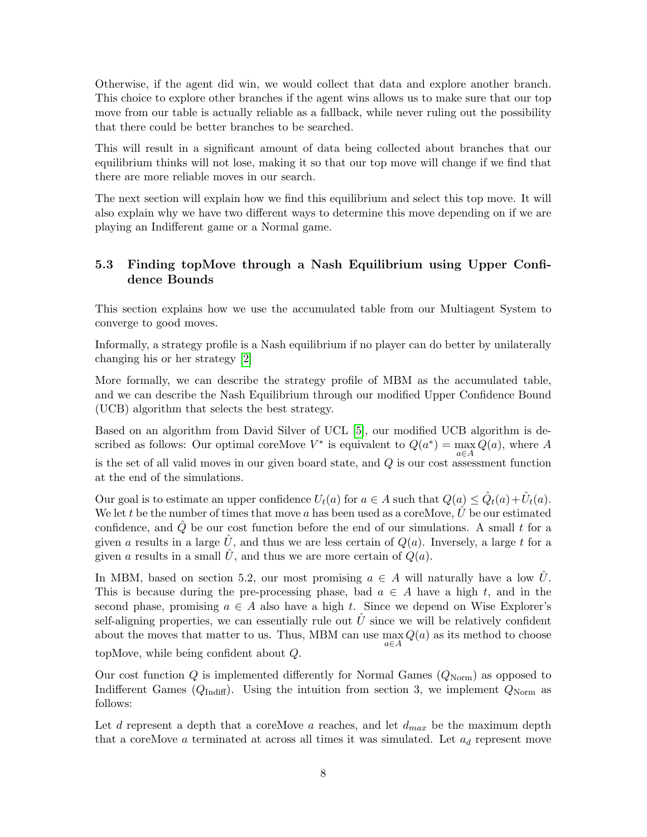Otherwise, if the agent did win, we would collect that data and explore another branch. This choice to explore other branches if the agent wins allows us to make sure that our top move from our table is actually reliable as a fallback, while never ruling out the possibility that there could be better branches to be searched.

This will result in a significant amount of data being collected about branches that our equilibrium thinks will not lose, making it so that our top move will change if we find that there are more reliable moves in our search.

The next section will explain how we find this equilibrium and select this top move. It will also explain why we have two different ways to determine this move depending on if we are playing an Indifferent game or a Normal game.

#### 5.3 Finding topMove through a Nash Equilibrium using Upper Confidence Bounds

This section explains how we use the accumulated table from our Multiagent System to converge to good moves.

Informally, a strategy profile is a Nash equilibrium if no player can do better by unilaterally changing his or her strategy [\[2\]](#page-18-4)

More formally, we can describe the strategy profile of MBM as the accumulated table, and we can describe the Nash Equilibrium through our modified Upper Confidence Bound (UCB) algorithm that selects the best strategy.

Based on an algorithm from David Silver of UCL [\[5\]](#page-18-5), our modified UCB algorithm is described as follows: Our optimal coreMove  $V^*$  is equivalent to  $Q(a^*) = \max_{a \in A} Q(a)$ , where A is the set of all valid moves in our given board state, and  $Q$  is our cost assessment function at the end of the simulations.

Our goal is to estimate an upper confidence  $U_t(a)$  for  $a \in A$  such that  $Q(a) \leq \hat{Q}_t(a) + \hat{U}_t(a)$ . We let t be the number of times that move a has been used as a core Move,  $\hat{U}$  be our estimated confidence, and  $\hat{Q}$  be our cost function before the end of our simulations. A small t for a given a results in a large  $\hat{U}$ , and thus we are less certain of  $Q(a)$ . Inversely, a large t for a given a results in a small U, and thus we are more certain of  $Q(a)$ .

In MBM, based on section 5.2, our most promising  $a \in A$  will naturally have a low U. This is because during the pre-processing phase, bad  $a \in A$  have a high t, and in the second phase, promising  $a \in A$  also have a high t. Since we depend on Wise Explorer's self-aligning properties, we can essentially rule out  $U$  since we will be relatively confident about the moves that matter to us. Thus, MBM can use  $\max Q(a)$  as its method to choose a∈A topMove, while being confident about Q.

Our cost function  $Q$  is implemented differently for Normal Games  $(Q_{\text{Norm}})$  as opposed to Indifferent Games ( $Q_{\text{Indiff}}$ ). Using the intuition from section 3, we implement  $Q_{\text{Norm}}$  as follows:

Let  $d$  represent a depth that a coreMove  $a$  reaches, and let  $d_{max}$  be the maximum depth that a coreMove a terminated at across all times it was simulated. Let  $a_d$  represent move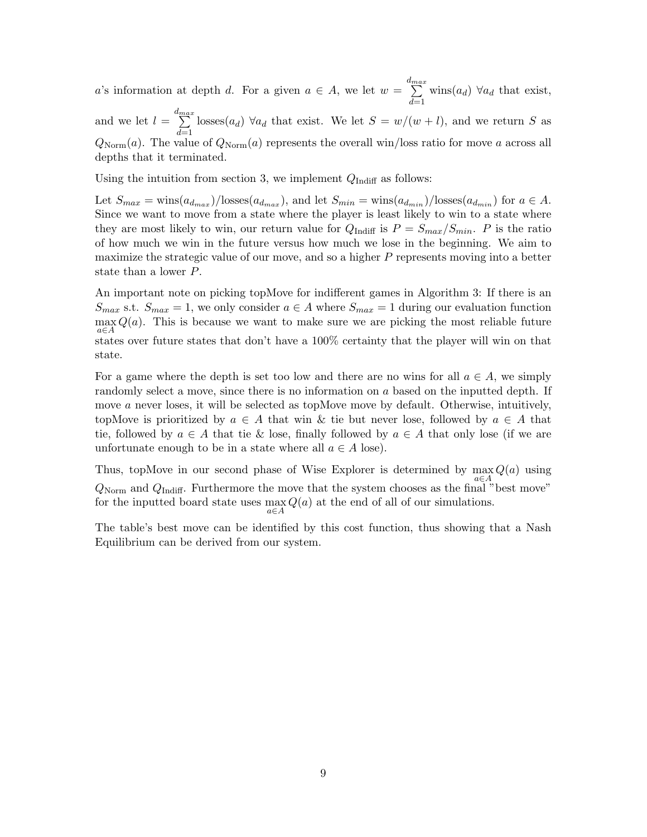a's information at depth d. For a given  $a \in A$ , we let  $w = \sum_{n=1}^{d_{max}}$  $d=1$ wins $(a_d)$   $\forall a_d$  that exist,

and we let  $l =$  $\sum_{i=1}^{d_{max}}$  $d=1$ losses( $a_d$ )  $\forall a_d$  that exist. We let  $S = w/(w+l)$ , and we return S as  $Q_{\text{Norm}}(a)$ . The value of  $Q_{\text{Norm}}(a)$  represents the overall win/loss ratio for move a across all depths that it terminated.

Using the intuition from section 3, we implement  $Q_{\text{Indiff}}$  as follows:

Let  $S_{max} = \text{wins}(a_{d_{max}})/\text{losses}(a_{d_{max}})$ , and let  $S_{min} = \text{wins}(a_{d_{min}})/\text{losses}(a_{d_{min}})$  for  $a \in A$ . Since we want to move from a state where the player is least likely to win to a state where they are most likely to win, our return value for  $Q_{\text{Indiff}}$  is  $P = S_{max}/S_{min}$ . P is the ratio of how much we win in the future versus how much we lose in the beginning. We aim to maximize the strategic value of our move, and so a higher P represents moving into a better state than a lower P.

An important note on picking topMove for indifferent games in Algorithm 3: If there is an  $S_{max}$  s.t.  $S_{max} = 1$ , we only consider  $a \in A$  where  $S_{max} = 1$  during our evaluation function  $\max_{a \in A} Q(a)$ . This is because we want to make sure we are picking the most reliable future states over future states that don't have a 100% certainty that the player will win on that state.

For a game where the depth is set too low and there are no wins for all  $a \in A$ , we simply randomly select a move, since there is no information on a based on the inputted depth. If move a never loses, it will be selected as topMove move by default. Otherwise, intuitively, topMove is prioritized by  $a \in A$  that win & tie but never lose, followed by  $a \in A$  that tie, followed by  $a \in A$  that tie & lose, finally followed by  $a \in A$  that only lose (if we are unfortunate enough to be in a state where all  $a \in A$  lose).

Thus, topMove in our second phase of Wise Explorer is determined by  $\max Q(a)$  using  $Q_{\text{Norm}}$  and  $Q_{\text{Indiff}}$ . Furthermore the move that the system chooses as the final "best move" for the inputted board state uses  $\max_{a \in A} Q(a)$  at the end of all of our simulations.

The table's best move can be identified by this cost function, thus showing that a Nash Equilibrium can be derived from our system.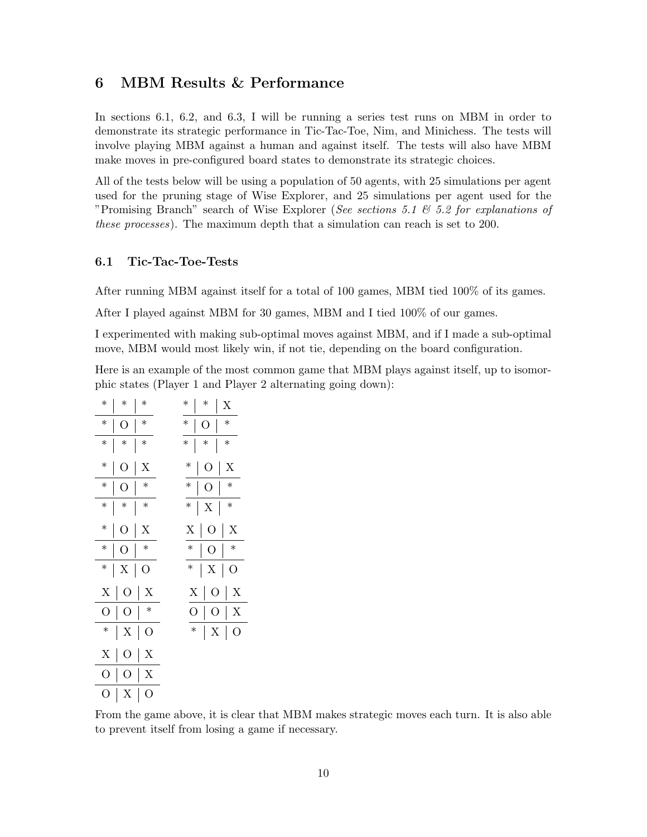## 6 MBM Results & Performance

In sections 6.1, 6.2, and 6.3, I will be running a series test runs on MBM in order to demonstrate its strategic performance in Tic-Tac-Toe, Nim, and Minichess. The tests will involve playing MBM against a human and against itself. The tests will also have MBM make moves in pre-configured board states to demonstrate its strategic choices.

All of the tests below will be using a population of 50 agents, with 25 simulations per agent used for the pruning stage of Wise Explorer, and 25 simulations per agent used for the "Promising Branch" search of Wise Explorer (See sections 5.1  $\&$  5.2 for explanations of these processes). The maximum depth that a simulation can reach is set to 200.

#### 6.1 Tic-Tac-Toe-Tests

After running MBM against itself for a total of 100 games, MBM tied 100% of its games.

After I played against MBM for 30 games, MBM and I tied 100% of our games.

I experimented with making sub-optimal moves against MBM, and if I made a sub-optimal move, MBM would most likely win, if not tie, depending on the board configuration.

Here is an example of the most common game that MBM plays against itself, up to isomorphic states (Player 1 and Player 2 alternating going down):

| $\ast$  | $\ast$         | $\ast$         | $\ast$         | $\ast$                                     | X                |
|---------|----------------|----------------|----------------|--------------------------------------------|------------------|
| $\ast$  | O              | $\ast$         | $\ast$         | О                                          | $\ast$           |
| $\ast$  | $\ast$         | $\ast$         | $\ast$         | $\ast$                                     | $\ast$           |
| $\ast$  | O              | $\overline{X}$ | $\ast$         | О                                          | X                |
| $\ast$  | О              | $\ast$         | $\ast$         | О                                          | $\ast$           |
| $\ast$  | $\ast$         | $\ast$         | $\ast$         | X<br>$\overline{\phantom{a}}$              | $\ast$           |
| $\ast$  | О              | X              | Х              | $\overline{O}$<br>$\overline{\phantom{a}}$ | X                |
| $\ast$  | $\overline{O}$ | $\ast$         | $\ast$         | О                                          | $\ast$           |
| $\ast$  | X              | О              | $\ast$         | X                                          | О                |
| X       | О              | X              | $\overline{X}$ | О                                          | X<br>I           |
| O       | О              | $\ast$         | O              |                                            | X<br>О           |
| $\ast$  | X              | О              | $\ast$         | $\overline{\phantom{a}}$                   | $\mathbf X$<br>О |
| $\rm X$ | $\overline{O}$ | X              |                |                                            |                  |
| O       | O              | X              |                |                                            |                  |
| O       | X              | O              |                |                                            |                  |

From the game above, it is clear that MBM makes strategic moves each turn. It is also able to prevent itself from losing a game if necessary.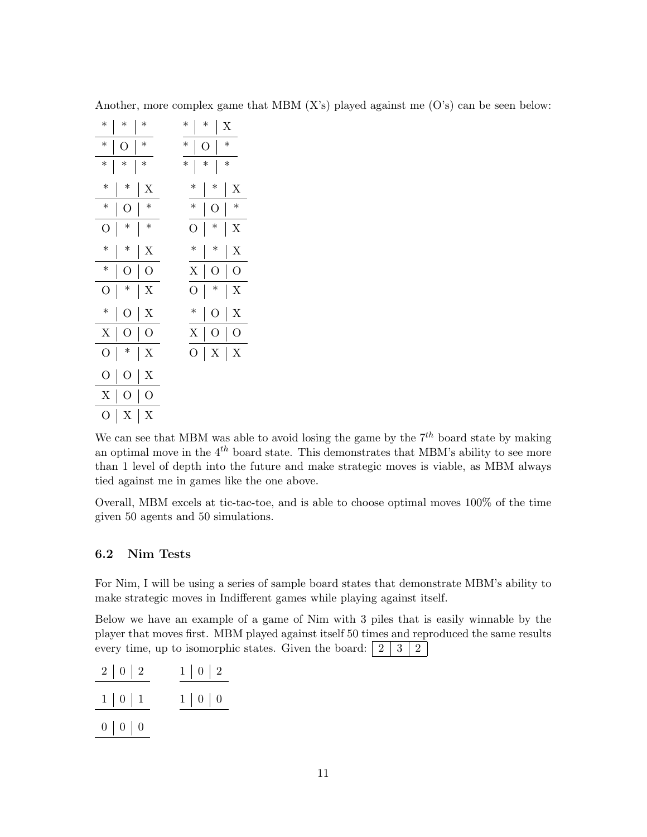| $\ast$ | $\ast$ | $\ast$         | $\ast$ | $\ast$ |        | X      |
|--------|--------|----------------|--------|--------|--------|--------|
| $\ast$ | О      | $\ast$         | $\ast$ | О      |        | $\ast$ |
| $\ast$ | $\ast$ | $\ast$         | $\ast$ | $\ast$ |        | $\ast$ |
| $\ast$ | $\ast$ | X              | $\ast$ |        | $\ast$ | X      |
| $\ast$ | О      | $\ast$         | $\ast$ |        | О      | $\ast$ |
| О      | $\ast$ | $\ast$         | О      |        | $\ast$ | Χ      |
| $\ast$ | $\ast$ | X              | $\ast$ |        | $\ast$ | X      |
| $\ast$ | О      | О              | Χ      |        | О      | О      |
| О      | $\ast$ | Χ              | О      |        | $\ast$ | Χ      |
| $\ast$ | О      | X              | $\ast$ |        | О      | X      |
| X      | О      | О              | X      |        | О      | О      |
| О      | $\ast$ | Χ              | О      | I      | X      | Χ      |
| O      | O      | $\overline{X}$ |        |        |        |        |
| Х      | О      | O              |        |        |        |        |
| О      | Χ      | Χ              |        |        |        |        |

Another, more complex game that MBM  $(X's)$  played against me  $(O's)$  can be seen below:

We can see that MBM was able to avoid losing the game by the  $7<sup>th</sup>$  board state by making an optimal move in the  $4^{th}$  board state. This demonstrates that MBM's ability to see more than 1 level of depth into the future and make strategic moves is viable, as MBM always tied against me in games like the one above.

Overall, MBM excels at tic-tac-toe, and is able to choose optimal moves 100% of the time given 50 agents and 50 simulations.

#### 6.2 Nim Tests

For Nim, I will be using a series of sample board states that demonstrate MBM's ability to make strategic moves in Indifferent games while playing against itself.

Below we have an example of a game of Nim with 3 piles that is easily winnable by the player that moves first. MBM played against itself 50 times and reproduced the same results every time, up to isomorphic states. Given the board:  $\begin{bmatrix} 2 & 3 & 2 \end{bmatrix}$ 

| 2   0   2         | $1 \mid 0 \mid 2$ |
|-------------------|-------------------|
| $1 \mid 0 \mid 1$ | $1 \mid 0 \mid 0$ |
| $0 \mid 0 \mid 0$ |                   |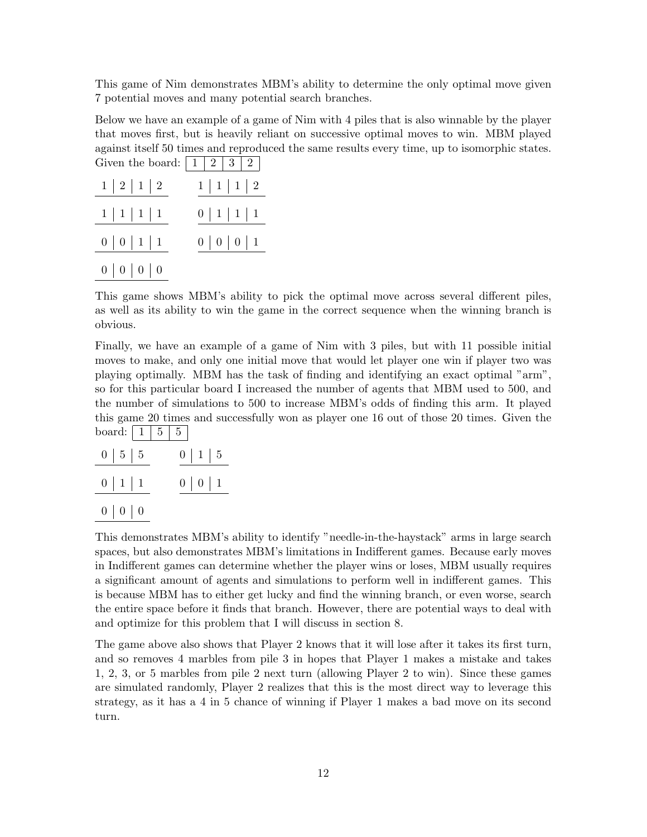This game of Nim demonstrates MBM's ability to determine the only optimal move given 7 potential moves and many potential search branches.

Below we have an example of a game of Nim with 4 piles that is also winnable by the player that moves first, but is heavily reliant on successive optimal moves to win. MBM played against itself 50 times and reproduced the same results every time, up to isomorphic states. Given the board:  $\mid 1 \mid 2 \mid 3 \mid 2 \mid$ 

| 1   2   1   2            | 1   1   1   2 |
|--------------------------|---------------|
| 1   1   1   1            | 0   1   1   1 |
| 0   0   1   1            | 0   0   0   1 |
| $0 \mid 0 \mid 0 \mid 0$ |               |

This game shows MBM's ability to pick the optimal move across several different piles, as well as its ability to win the game in the correct sequence when the winning branch is obvious.

Finally, we have an example of a game of Nim with 3 piles, but with 11 possible initial moves to make, and only one initial move that would let player one win if player two was playing optimally. MBM has the task of finding and identifying an exact optimal "arm", so for this particular board I increased the number of agents that MBM used to 500, and the number of simulations to 500 to increase MBM's odds of finding this arm. It played this game 20 times and successfully won as player one 16 out of those 20 times. Given the board:  $|1|5|5$ 

| $0 \mid 5 \mid 5$ | $0 \mid 1 \mid 5$ |
|-------------------|-------------------|
| $0 \mid 1 \mid 1$ | $0 \mid 0 \mid 1$ |
| $0 \mid 0 \mid 0$ |                   |

This demonstrates MBM's ability to identify "needle-in-the-haystack" arms in large search spaces, but also demonstrates MBM's limitations in Indifferent games. Because early moves in Indifferent games can determine whether the player wins or loses, MBM usually requires a significant amount of agents and simulations to perform well in indifferent games. This is because MBM has to either get lucky and find the winning branch, or even worse, search the entire space before it finds that branch. However, there are potential ways to deal with and optimize for this problem that I will discuss in section 8.

The game above also shows that Player 2 knows that it will lose after it takes its first turn, and so removes 4 marbles from pile 3 in hopes that Player 1 makes a mistake and takes 1, 2, 3, or 5 marbles from pile 2 next turn (allowing Player 2 to win). Since these games are simulated randomly, Player 2 realizes that this is the most direct way to leverage this strategy, as it has a 4 in 5 chance of winning if Player 1 makes a bad move on its second turn.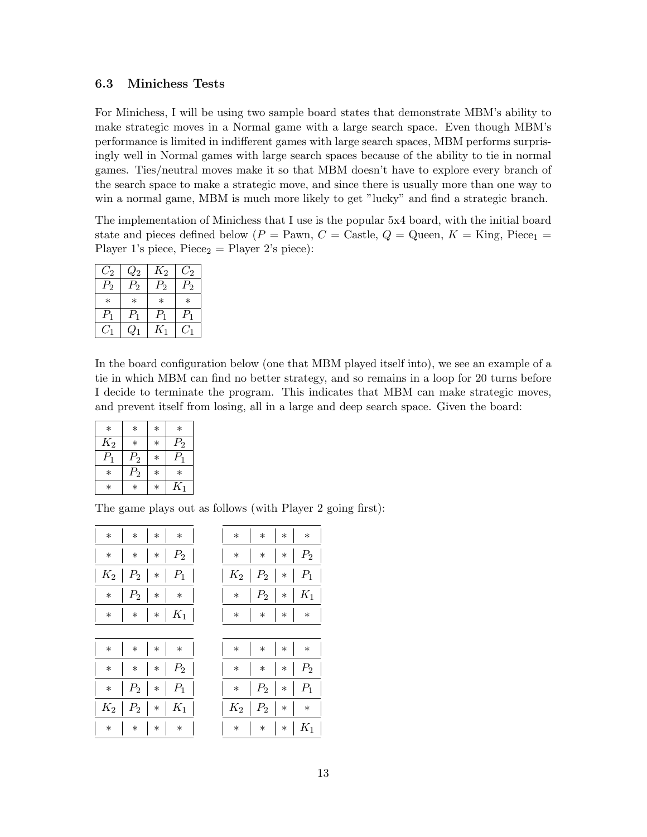#### 6.3 Minichess Tests

For Minichess, I will be using two sample board states that demonstrate MBM's ability to make strategic moves in a Normal game with a large search space. Even though MBM's performance is limited in indifferent games with large search spaces, MBM performs surprisingly well in Normal games with large search spaces because of the ability to tie in normal games. Ties/neutral moves make it so that MBM doesn't have to explore every branch of the search space to make a strategic move, and since there is usually more than one way to win a normal game, MBM is much more likely to get "lucky" and find a strategic branch.

The implementation of Minichess that I use is the popular 5x4 board, with the initial board state and pieces defined below ( $P =$  Pawn,  $C =$  Castle,  $Q =$  Queen,  $K =$  King, Piece<sub>1</sub> = Player 1's piece,  $Piece<sub>2</sub> = Player 2's piece$ :

| $C_2$  | $Q_2$    | $K_2$       | $C_2$   |
|--------|----------|-------------|---------|
| $P_2$  | $P_{2}$  | $P_2\,$     | $P_2\,$ |
| $\ast$ | $^\star$ | ж           |         |
| $P_1$  | $P_{1}$  | $P_{\rm 1}$ | $P_1$   |
| ( / ∟  | $Q_1$    | $K_{1}$     | $C_1$   |

In the board configuration below (one that MBM played itself into), we see an example of a tie in which MBM can find no better strategy, and so remains in a loop for 20 turns before I decide to terminate the program. This indicates that MBM can make strategic moves, and prevent itself from losing, all in a large and deep search space. Given the board:

| $\ast$      | $\ast$  | $\ast$ | $\ast$  |
|-------------|---------|--------|---------|
| $K_2$       | $\ast$  | $\ast$ | $P_{2}$ |
| $P_{\rm 1}$ | $P_2$   | $\ast$ | $P_1$   |
| $^\ast$     | $P_2\,$ | $\ast$ | $\ast$  |
| $\ast$      | $\ast$  | $\ast$ | $K_1$   |

The game plays out as follows (with Player 2 going first):

|                 |         | $\ast$  |       |
|-----------------|---------|---------|-------|
| $\ast$          |         | $\ast$  | $P_2$ |
| $\mathcal{K}_2$ | $P_2$   | $\ast$  | $P_1$ |
|                 | $P_{2}$ | $^\ast$ |       |
|                 | $\ast$  | $\ast$  | $K_1$ |

| $*$ $*$ $*$ $*$ $*$ $*$             | *   *   *   *                         |
|-------------------------------------|---------------------------------------|
| $*$   $*$   $*$   $P_2$             | $  *   *   *   P_2$                   |
| $*$   $P_2$   $*$   $P_1$           | $\vert * \vert P_2 \vert * \vert P_1$ |
| $K_2 \mid P_2 \mid * \mid K_1 \mid$ | $\mid K_2 \mid P_2 \mid * \mid *$     |
| $*$ $*$ $*$ $*$ $*$ $*$             | $  *   *   *   K$                     |

|                                | $*$ $*$ $*$ $*$ $*$ $*$          |  |  | *   *   *   *                               |
|--------------------------------|----------------------------------|--|--|---------------------------------------------|
|                                | $\ast$   $\ast$   $\ast$   $P_2$ |  |  | $\vert * \vert * \vert * \vert P_2$         |
| $K_2 \mid P_2 \mid * \mid P_1$ |                                  |  |  | $\mid K_2 \mid P_2 \mid * \mid P_1$         |
|                                | $*$   $P_2$   $*$   $*$          |  |  | $\vert * \vert P_2 \vert * \vert K_1 \vert$ |
|                                | $*$   $*$   $*$   $K_1$          |  |  | *   *   *   *                               |
|                                |                                  |  |  |                                             |

| $*$ $*$ $*$ $*$ $*$ $*$             | *   *   *   *                         |
|-------------------------------------|---------------------------------------|
| $*$   $*$   $*$   $P_2$             | $\vert * \vert * \vert * \vert P_2$   |
| $*$   $P_2$   $*$   $P_1$           | $\vert * \vert P_2 \vert * \vert P_1$ |
| $K_2 \mid P_2 \mid * \mid K_1 \mid$ | $\mid K_2 \mid P_2 \mid * \mid *$     |
| $*$ $*$ $*$ $*$ $*$ $*$             | $  *   *   *   K_1$                   |
|                                     |                                       |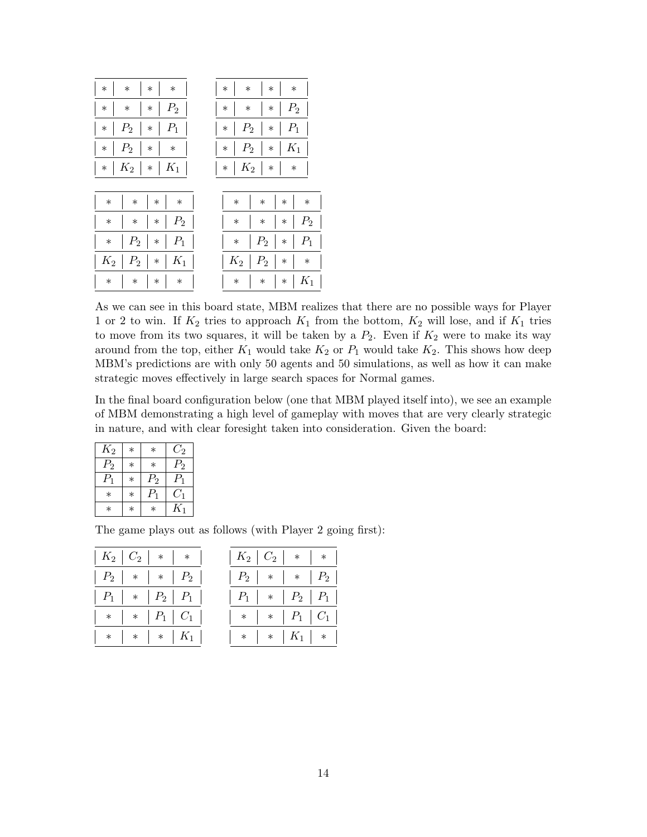| $\ast$                                     | $\ast$                                                           |
|--------------------------------------------|------------------------------------------------------------------|
| $\ast$                                     | $\ast$                                                           |
| $\ast$                                     | $\ast$                                                           |
| $\ast$                                     | $\ast$                                                           |
| $P_2$                                      | $P_2$                                                            |
| $\ast$                                     | $\ast$                                                           |
| $\ast$                                     | $\ast$                                                           |
| $\ast$                                     | $\ast$                                                           |
| $P_2$<br>$P_1$<br>$\ast$<br>$\ast$         | $P_2$<br>$P_1$<br>$\ast$<br>$\ast$<br>$\blacksquare$             |
| $P_2$                                      | $P_2$                                                            |
| $\ast$                                     | $K_1$                                                            |
| $\ast$                                     | $\ast$                                                           |
| $\ast$                                     | $\ast$                                                           |
| $\mid K_2 \mid$                            | $\mid K_2 \mid$                                                  |
| $K_1$                                      | $\ast$                                                           |
| $\ast$                                     | $\ast$                                                           |
| $\ast$                                     | $\ast$                                                           |
|                                            |                                                                  |
| $\ast$                                     | $\ast$                                                           |
| $\ast$                                     | $\ast$                                                           |
| $\ast$                                     | $\ast$                                                           |
| $\ast$                                     | $\ast$                                                           |
| $P_2$                                      | P <sub>2</sub>                                                   |
| $\ast$                                     | $\ast$                                                           |
| $\ast$                                     | $\ast$                                                           |
| $\ast$                                     | $\ast$                                                           |
| $P_2$                                      | $P_2$                                                            |
| $P_1$                                      | $P_1$                                                            |
| $\ast$                                     | $\ast$                                                           |
| $\ast$                                     | $\ast$                                                           |
| $K_2$<br>P <sub>2</sub><br>$K_1$<br>$\ast$ | $K_2$<br>$P_{2}$<br>$\ast$<br>$\ast$<br>$\overline{\phantom{a}}$ |
| $\ast$                                     | $K_1$                                                            |
| $\ast$                                     | $\ast$                                                           |
| $\ast$                                     | $\ast$                                                           |
| $\ast$                                     | $\ast$                                                           |

As we can see in this board state, MBM realizes that there are no possible ways for Player 1 or 2 to win. If  $K_2$  tries to approach  $K_1$  from the bottom,  $K_2$  will lose, and if  $K_1$  tries to move from its two squares, it will be taken by a  $P_2$ . Even if  $K_2$  were to make its way around from the top, either  $K_1$  would take  $K_2$  or  $P_1$  would take  $K_2$ . This shows how deep MBM's predictions are with only 50 agents and 50 simulations, as well as how it can make strategic moves effectively in large search spaces for Normal games.

In the final board configuration below (one that MBM played itself into), we see an example of MBM demonstrating a high level of gameplay with moves that are very clearly strategic in nature, and with clear foresight taken into consideration. Given the board:

| $K_2$   | $\ast$ | $^\ast$ | $C_2$   |
|---------|--------|---------|---------|
| $P_2$   | $\ast$ | $\ast$  | $P_{2}$ |
| $P_1$   | $\ast$ | $P_2$   | $P_1$   |
| $^\ast$ | $\ast$ | $P_1$   | $C_1$   |
| ж       | $\ast$ | $^\ast$ | $K_1$   |

The game plays out as follows (with Player 2 going first):

| $K_2$          | $C_2$  | ∗       |                    |
|----------------|--------|---------|--------------------|
| P <sub>2</sub> |        | $\ast$  | $P_2$              |
| $P_1$          | $\ast$ | $P_{2}$ | $P_1$              |
|                | $\ast$ | $P_1$   | $\scriptstyle C_1$ |
|                |        | $\ast$  | $K_{1}$            |

| $K_2 \mid C_2 \mid * \mid * \mid$ | $\mid K_{2}\mid C_{2}\mid \ *\mid \ * \mid$                      |
|-----------------------------------|------------------------------------------------------------------|
| $P_2$   *   *   $P_2$             | $\mid$ $P_2$ $\mid$ $\;\ast$ $\mid$ $\;\ast$ $\mid$ $P_2$ $\mid$ |
| $P_1$   *   $P_2$   $P_1$         | $\mid P_1 \mid * \mid P_2 \mid P_1 \mid$                         |
| $\ast$   $\ast$   $P_1$   $C_1$   | $\ast \mid \ast \mid P_1 \mid C_1 \mid$                          |
| $*$   $*$   $*$   $K_1$           | $\ast \left  * \right  K_1 \left  * \right $                     |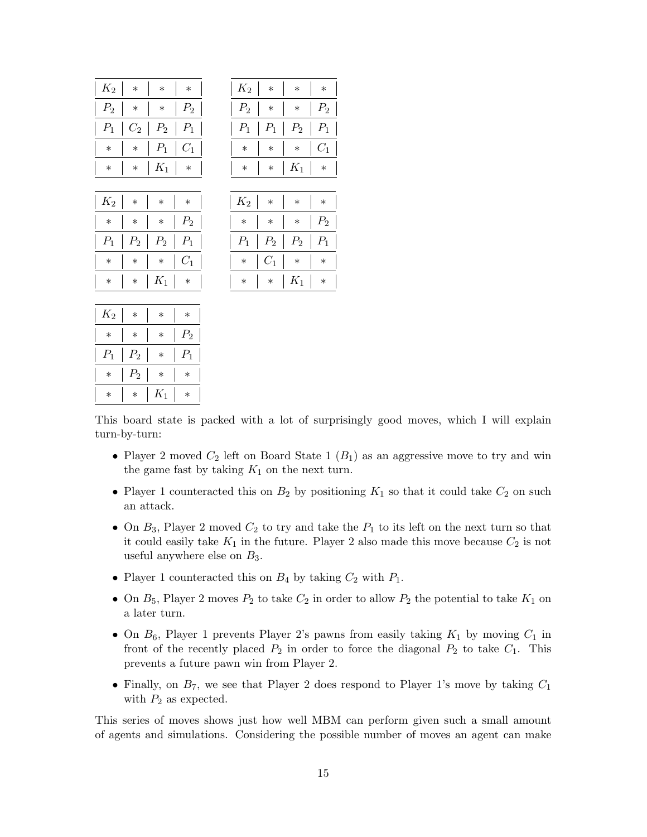| $K_2$          | $\ast$  | $\ast$          | $\ast$          | $K_2$  | $\ast$          | $\ast$          | $\ast$          |
|----------------|---------|-----------------|-----------------|--------|-----------------|-----------------|-----------------|
| P <sub>2</sub> | $\ast$  | $\ast$          | $P_2$           | $P_2$  | $\ast$          | $\ast$          | $P_2$           |
| $P_1$          | $C_{2}$ | $P_2$           | $P_1$           | $P_1$  | $P_1$           | $P_2$           | $P_1$           |
| $\ast$         | $\ast$  | $P_1$           | $C_1$           | $\ast$ | $\ast$          | $\ast$          | $C_1$           |
| $\ast$         | $\ast$  | $K_1$           | $\ast$          | $\ast$ | $\ast$          | $\mathcal{K}_1$ | $\ast$          |
|                |         |                 |                 |        |                 |                 |                 |
| $K_2$          | $\ast$  | $\ast$          | $\ast$          | $K_2$  | $\ast$          | $\ast$          | $\ast$          |
| $\ast$         | $\ast$  | $\ast$          | P <sub>2</sub>  | $\ast$ | $\ast$          | $\ast$          | $\mathcal{P}_2$ |
| $P_1$          | $P_2$   | $P_2$           | $\mathcal{P}_1$ | $P_1$  | $\mathcal{P}_2$ | $P_2$           | $P_1$           |
| $\ast$         | $\ast$  | $\ast$          | $C_{1}$         | $\ast$ | $C_1$           | $\ast$          | $\ast$          |
| $\ast$         | $\ast$  | $\mathcal{K}_1$ | $\ast$          | $\ast$ | $\ast$          | $\mathcal{K}_1$ | $\ast$          |
|                |         |                 |                 |        |                 |                 |                 |
| $K_2$          | $\ast$  | $\ast$          | $\ast$          |        |                 |                 |                 |
| $\ast$         | $\ast$  | $\ast$          | $P_2$           |        |                 |                 |                 |
| $P_{\rm 1}$    | $P_{2}$ | $\ast$          | $P_{\rm 1}$     |        |                 |                 |                 |

| $\ast$ | $\ast$  | $\ast$             |
|--------|---------|--------------------|
| $\ast$ | $\ast$  | $P_{2}$            |
| $P_1$  | $P_2$   | $P_1$              |
| $\ast$ | $\ast$  | $\scriptstyle C_1$ |
| $\ast$ | $K_1$   | $\ast$             |
|        |         |                    |
| $\ast$ | $\ast$  | $*$                |
| $\ast$ | $\ast$  | $P_2$              |
| $P_2$  | $P_2\,$ | $P_1$              |
| $C_1$  | $\ast$  | $\ast$             |
|        |         |                    |

| $\mathcal{K}_2$ | $\ast$          | $^\ast$ | $^\ast$ |
|-----------------|-----------------|---------|---------|
| $\ast$          | $^\ast$         | $\ast$  | $P_2$   |
| $P_1$           | $\mathcal{P}_2$ | $\ast$  | $P_1$   |
| $\ast$          | $P_2$           | $^\ast$ | ∗       |
| $^{\ast}$       | $\ast$          | $K_1$   |         |

This board state is packed with a lot of surprisingly good moves, which I will explain turn-by-turn:

- Player 2 moved  $C_2$  left on Board State 1  $(B_1)$  as an aggressive move to try and win the game fast by taking  $K_1$  on the next turn.
- Player 1 counteracted this on  $B_2$  by positioning  $K_1$  so that it could take  $C_2$  on such an attack.
- On  $B_3$ , Player 2 moved  $C_2$  to try and take the  $P_1$  to its left on the next turn so that it could easily take  $K_1$  in the future. Player 2 also made this move because  $C_2$  is not useful anywhere else on  $B_3$ .
- Player 1 counteracted this on  $B_4$  by taking  $C_2$  with  $P_1$ .
- On  $B_5$ , Player 2 moves  $P_2$  to take  $C_2$  in order to allow  $P_2$  the potential to take  $K_1$  on a later turn.
- On  $B_6$ , Player 1 prevents Player 2's pawns from easily taking  $K_1$  by moving  $C_1$  in front of the recently placed  $P_2$  in order to force the diagonal  $P_2$  to take  $C_1$ . This prevents a future pawn win from Player 2.
- Finally, on  $B_7$ , we see that Player 2 does respond to Player 1's move by taking  $C_1$ with  $P_2$  as expected.

This series of moves shows just how well MBM can perform given such a small amount of agents and simulations. Considering the possible number of moves an agent can make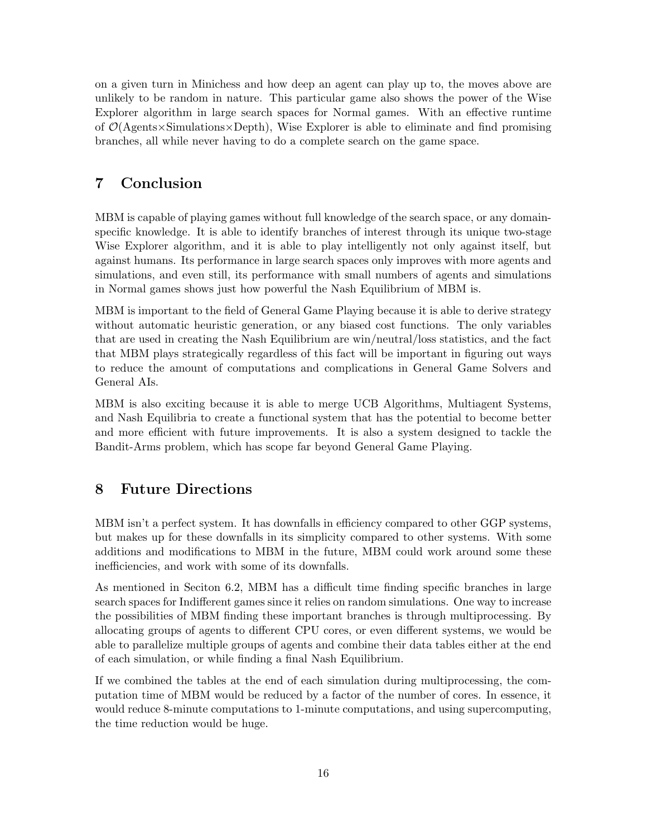on a given turn in Minichess and how deep an agent can play up to, the moves above are unlikely to be random in nature. This particular game also shows the power of the Wise Explorer algorithm in large search spaces for Normal games. With an effective runtime of  $\mathcal{O}(A_{\text{gents}} \times \text{Simulations} \times \text{Depth})$ , Wise Explorer is able to eliminate and find promising branches, all while never having to do a complete search on the game space.

### 7 Conclusion

MBM is capable of playing games without full knowledge of the search space, or any domainspecific knowledge. It is able to identify branches of interest through its unique two-stage Wise Explorer algorithm, and it is able to play intelligently not only against itself, but against humans. Its performance in large search spaces only improves with more agents and simulations, and even still, its performance with small numbers of agents and simulations in Normal games shows just how powerful the Nash Equilibrium of MBM is.

MBM is important to the field of General Game Playing because it is able to derive strategy without automatic heuristic generation, or any biased cost functions. The only variables that are used in creating the Nash Equilibrium are win/neutral/loss statistics, and the fact that MBM plays strategically regardless of this fact will be important in figuring out ways to reduce the amount of computations and complications in General Game Solvers and General AIs.

MBM is also exciting because it is able to merge UCB Algorithms, Multiagent Systems, and Nash Equilibria to create a functional system that has the potential to become better and more efficient with future improvements. It is also a system designed to tackle the Bandit-Arms problem, which has scope far beyond General Game Playing.

## 8 Future Directions

MBM isn't a perfect system. It has downfalls in efficiency compared to other GGP systems, but makes up for these downfalls in its simplicity compared to other systems. With some additions and modifications to MBM in the future, MBM could work around some these inefficiencies, and work with some of its downfalls.

As mentioned in Seciton 6.2, MBM has a difficult time finding specific branches in large search spaces for Indifferent games since it relies on random simulations. One way to increase the possibilities of MBM finding these important branches is through multiprocessing. By allocating groups of agents to different CPU cores, or even different systems, we would be able to parallelize multiple groups of agents and combine their data tables either at the end of each simulation, or while finding a final Nash Equilibrium.

If we combined the tables at the end of each simulation during multiprocessing, the computation time of MBM would be reduced by a factor of the number of cores. In essence, it would reduce 8-minute computations to 1-minute computations, and using supercomputing, the time reduction would be huge.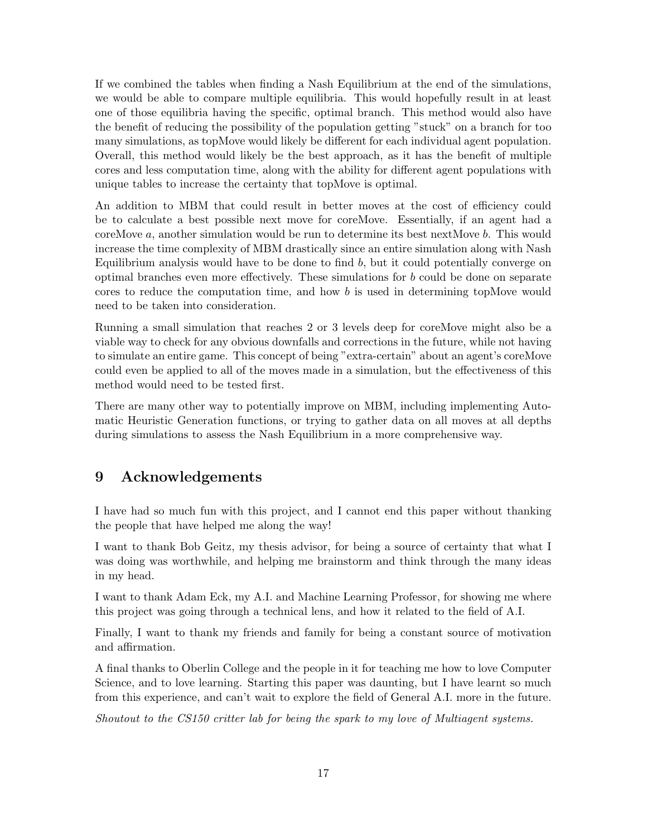If we combined the tables when finding a Nash Equilibrium at the end of the simulations, we would be able to compare multiple equilibria. This would hopefully result in at least one of those equilibria having the specific, optimal branch. This method would also have the benefit of reducing the possibility of the population getting "stuck" on a branch for too many simulations, as topMove would likely be different for each individual agent population. Overall, this method would likely be the best approach, as it has the benefit of multiple cores and less computation time, along with the ability for different agent populations with unique tables to increase the certainty that topMove is optimal.

An addition to MBM that could result in better moves at the cost of efficiency could be to calculate a best possible next move for coreMove. Essentially, if an agent had a coreMove a, another simulation would be run to determine its best nextMove b. This would increase the time complexity of MBM drastically since an entire simulation along with Nash Equilibrium analysis would have to be done to find  $b$ , but it could potentially converge on optimal branches even more effectively. These simulations for b could be done on separate cores to reduce the computation time, and how b is used in determining topMove would need to be taken into consideration.

Running a small simulation that reaches 2 or 3 levels deep for coreMove might also be a viable way to check for any obvious downfalls and corrections in the future, while not having to simulate an entire game. This concept of being "extra-certain" about an agent's coreMove could even be applied to all of the moves made in a simulation, but the effectiveness of this method would need to be tested first.

There are many other way to potentially improve on MBM, including implementing Automatic Heuristic Generation functions, or trying to gather data on all moves at all depths during simulations to assess the Nash Equilibrium in a more comprehensive way.

## 9 Acknowledgements

I have had so much fun with this project, and I cannot end this paper without thanking the people that have helped me along the way!

I want to thank Bob Geitz, my thesis advisor, for being a source of certainty that what I was doing was worthwhile, and helping me brainstorm and think through the many ideas in my head.

I want to thank Adam Eck, my A.I. and Machine Learning Professor, for showing me where this project was going through a technical lens, and how it related to the field of A.I.

Finally, I want to thank my friends and family for being a constant source of motivation and affirmation.

A final thanks to Oberlin College and the people in it for teaching me how to love Computer Science, and to love learning. Starting this paper was daunting, but I have learnt so much from this experience, and can't wait to explore the field of General A.I. more in the future.

Shoutout to the CS150 critter lab for being the spark to my love of Multiagent systems.